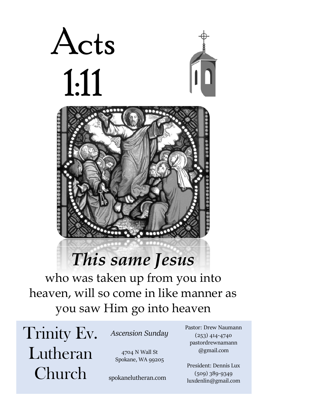

# *This same Jesus*

who was taken up from you into heaven, will so come in like manner as you saw Him go into heaven

Trinity Ev. Lutheran Church

*Ascension Sunday*

4704 N Wall St Spokane, WA 99205

spokanelutheran.com

Pastor: Drew Naumann (253) 414-4740 pastordrewnamann @gmail.com

President: Dennis Lux (509) 389-9349 luxdenlin@gmail.com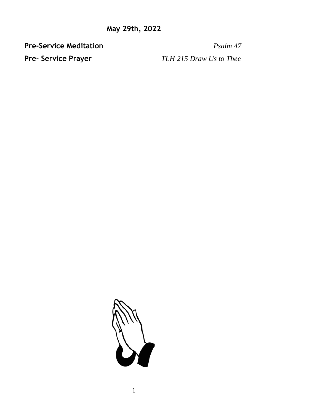**Pre-Service Meditation** *Psalm 47* 

**Pre- Service Prayer** *TLH 215 Draw Us to Thee*

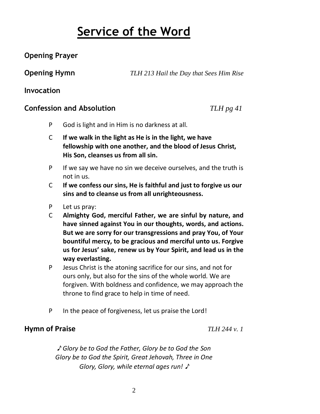## **Service of the Word**

## **Opening Prayer**

**Opening Hymn** *TLH 213 Hail the Day that Sees Him Rise*

## **Invocation**

## **Confession and Absolution** *TLH pg 41*

- P God is light and in Him is no darkness at all.
- C **If we walk in the light as He is in the light, we have fellowship with one another, and the blood of Jesus Christ, His Son, cleanses us from all sin.**
- P If we say we have no sin we deceive ourselves, and the truth is not in us.
- C **If we confess our sins, He is faithful and just to forgive us our sins and to cleanse us from all unrighteousness.**
- P Let us pray:
- C **Almighty God, merciful Father, we are sinful by nature, and have sinned against You in our thoughts, words, and actions. But we are sorry for our transgressions and pray You, of Your bountiful mercy, to be gracious and merciful unto us. Forgive us for Jesus' sake, renew us by Your Spirit, and lead us in the way everlasting.**
- P Jesus Christ is the atoning sacrifice for our sins, and not for ours only, but also for the sins of the whole world. We are forgiven. With boldness and confidence, we may approach the throne to find grace to help in time of need.
- P In the peace of forgiveness, let us praise the Lord!

## **Hymn of Praise** *TLH 244 v. 1*

♪ *Glory be to God the Father, Glory be to God the Son Glory be to God the Spirit, Great Jehovah, Three in One Glory, Glory, while eternal ages run!* ♪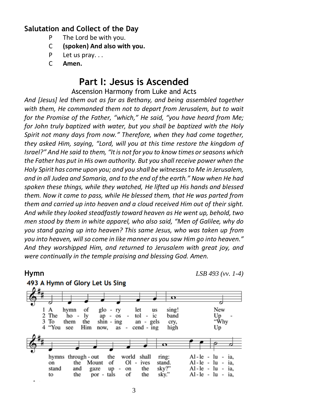### **Salutation and Collect of the Day**

- P The Lord be with you.
- C **(spoken) And also with you.**
- P Let us pray. . .
- C **Amen.**

## **Part I: Jesus is Ascended**

Ascension Harmony from Luke and Acts

*And [Jesus] led them out as far as Bethany, and being assembled together with them, He commanded them not to depart from Jerusalem, but to wait for the Promise of the Father, "which," He said, "you have heard from Me; for John truly baptized with water, but you shall be baptized with the Holy Spirit not many days from now." Therefore, when they had come together, they asked Him, saying, "Lord, will you at this time restore the kingdom of Israel?" And He said to them, "Itis not for you to know times or seasons which the Father has put in His own authority. But you shall receive power when the Holy Spirit has come upon you; and you shall be witnesses to Me in Jerusalem, and in all Judea and Samaria, and to the end of the earth." Now when He had spoken these things, while they watched, He lifted up His hands and blessed them. Now it came to pass, while He blessed them, that He was parted from them and carried up into heaven and a cloud received Him out of their sight. And while they looked steadfastly toward heaven as He went up, behold, two men stood by them in white apparel, who also said, "Men of Galilee, why do you stand gazing up into heaven? This same Jesus, who was taken up from you into heaven, will so come in like manner as you saw Him go into heaven." And they worshipped Him, and returned to Jerusalem with great joy, and were continually in the temple praising and blessing God. Amen.*

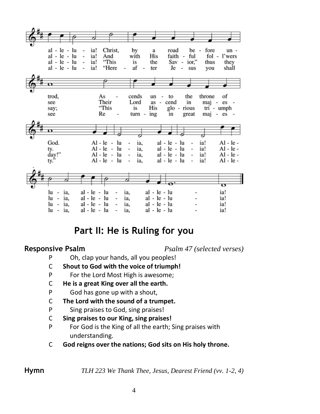

## **Part II: He is Ruling for you**

**Responsive Psalm** *Psalm 47 (selected verses)*

- P Oh, clap your hands, all you peoples!
- C **Shout to God with the voice of triumph!**
- P For the Lord Most High is awesome;
- C **He is a great King over all the earth.**
- P God has gone up with a shout,
- C **The Lord with the sound of a trumpet.**
- P Sing praises to God, sing praises!
- C **Sing praises to our King, sing praises!**
- P For God is the King of all the earth; Sing praises with understanding.
- C **God reigns over the nations; God sits on His holy throne.**

**Hymn** *TLH 223 We Thank Thee, Jesus, Dearest Friend (vv. 1-2, 4)*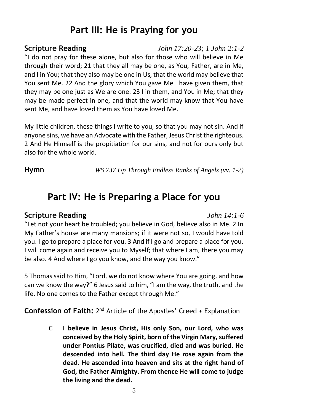## **Part III: He is Praying for you**

**Scripture Reading** *John 17:20-23; 1 John 2:1-2* "I do not pray for these alone, but also for those who will believe in Me through their word; 21 that they all may be one, as You, Father, are in Me, and I in You; that they also may be one in Us, that the world may believe that You sent Me. 22 And the glory which You gave Me I have given them, that they may be one just as We are one: 23 I in them, and You in Me; that they may be made perfect in one, and that the world may know that You have sent Me, and have loved them as You have loved Me.

My little children, these things I write to you, so that you may not sin. And if anyone sins, we have an Advocate with the Father, Jesus Christ the righteous. 2 And He Himself is the propitiation for our sins, and not for ours only but also for the whole world.

**Hymn** *WS 737 Up Through Endless Ranks of Angels (vv. 1-2)*

## **Part IV: He is Preparing a Place for you**

## **Scripture Reading** *John 14:1-6*

"Let not your heart be troubled; you believe in God, believe also in Me. 2 In My Father's house are many mansions; if it were not so, I would have told you. I go to prepare a place for you. 3 And if I go and prepare a place for you, I will come again and receive you to Myself; that where I am, there you may be also. 4 And where I go you know, and the way you know."

5 Thomas said to Him, "Lord, we do not know where You are going, and how can we know the way?" 6 Jesus said to him, "I am the way, the truth, and the life. No one comes to the Father except through Me."

**Confession of Faith:** 2<sup>nd</sup> Article of the Apostles' Creed + Explanation

C **I believe in Jesus Christ, His only Son, our Lord, who was conceived by the Holy Spirit, born of the Virgin Mary, suffered under Pontius Pilate, was crucified, died and was buried. He descended into hell. The third day He rose again from the dead. He ascended into heaven and sits at the right hand of God, the Father Almighty. From thence He will come to judge the living and the dead.**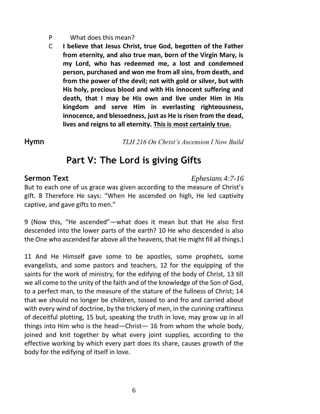- P What does this mean?
- C **I believe that Jesus Christ, true God, begotten of the Father from eternity, and also true man, born of the Virgin Mary, is my Lord, who has redeemed me, a lost and condemned person, purchased and won me from all sins, from death, and from the power of the devil; not with gold or silver, but with His holy, precious blood and with His innocent suffering and death, that I may be His own and live under Him in His kingdom and serve Him in everlasting righteousness, innocence, and blessedness, just as He is risen from the dead, lives and reigns to all eternity. This is most certainly true.**

**Hymn** *TLH 216 On Christ's Ascension I Now Build*

## **Part V: The Lord is giving Gifts**

### **Sermon Text** *Ephesians 4:7-16*

But to each one of us grace was given according to the measure of Christ's gift. 8 Therefore He says: "When He ascended on high, He led captivity captive, and gave gifts to men."

9 (Now this, "He ascended"—what does it mean but that He also first descended into the lower parts of the earth? 10 He who descended is also the One who ascended far above all the heavens, that He might fill all things.)

11 And He Himself gave some to be apostles, some prophets, some evangelists, and some pastors and teachers, 12 for the equipping of the saints for the work of ministry, for the edifying of the body of Christ, 13 till we all come to the unity of the faith and of the knowledge of the Son of God, to a perfect man, to the measure of the stature of the fullness of Christ; 14 that we should no longer be children, tossed to and fro and carried about with every wind of doctrine, by the trickery of men, in the cunning craftiness of deceitful plotting, 15 but, speaking the truth in love, may grow up in all things into Him who is the head—Christ— 16 from whom the whole body, joined and knit together by what every joint supplies, according to the effective working by which every part does its share, causes growth of the body for the edifying of itself in love.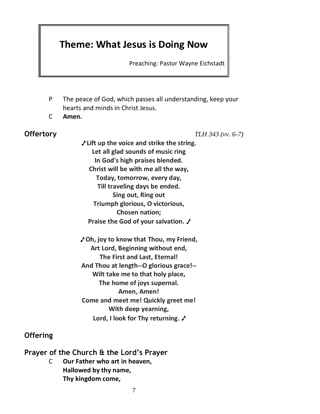## **Theme: What Jesus is Doing Now**

Preaching: Pastor Wayne Eichstadt

- P The peace of God, which passes all understanding, keep your hearts and minds in Christ Jesus.
- C **Amen.**

**Offertory** *TLH 343 (vv. 6-7)*

♪ **Lift up the voice and strike the string. Let all glad sounds of music ring In God's high praises blended. Christ will be with me all the way, Today, tomorrow, every day, Till traveling days be ended. Sing out, Ring out Triumph glorious, O victorious, Chosen nation; Praise the God of your salvation.** ♪

♪ **Oh, joy to know that Thou, my Friend, Art Lord, Beginning without end, The First and Last, Eternal! And Thou at length--O glorious grace!-- Wilt take me to that holy place, The home of joys supernal. Amen, Amen! Come and meet me! Quickly greet me! With deep yearning, Lord, I look for Thy returning.** ♪

## **Offering**

**Prayer of the Church & the Lord's Prayer**

C **Our Father who art in heaven, Hallowed by thy name, Thy kingdom come,**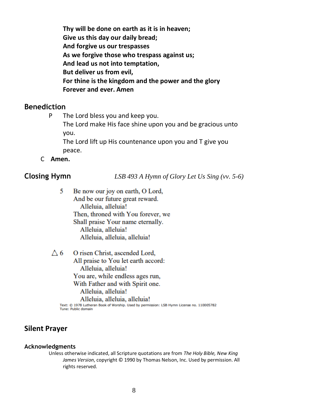**Thy will be done on earth as it is in heaven; Give us this day our daily bread; And forgive us our trespasses As we forgive those who trespass against us; And lead us not into temptation, But deliver us from evil, For thine is the kingdom and the power and the glory Forever and ever. Amen**

### **Benediction**

P The Lord bless you and keep you.

The Lord make His face shine upon you and be gracious unto you.

The Lord lift up His countenance upon you and T give you peace.

C **Amen.**

**Closing Hymn** *LSB 493 A Hymn of Glory Let Us Sing (vv. 5-6)*

5 Be now our joy on earth, O Lord, And be our future great reward. Alleluia, alleluia! Then, throned with You forever, we Shall praise Your name eternally. Alleluia, alleluia! Alleluia, alleluia, alleluia!

 $\triangle$  6 O risen Christ, ascended Lord, All praise to You let earth accord: Alleluia, alleluia! You are, while endless ages run, With Father and with Spirit one. Alleluia, alleluia! Alleluia, alleluia, alleluia!

Text: @ 1978 Lutheran Book of Worship. Used by permission: LSB Hymn License no. 110005782 Tune: Public domain

### **Silent Prayer**

### **Acknowledgments**

Unless otherwise indicated, all Scripture quotations are from *The Holy Bible, New King James Version*, copyright © 1990 by Thomas Nelson, Inc. Used by permission. All rights reserved.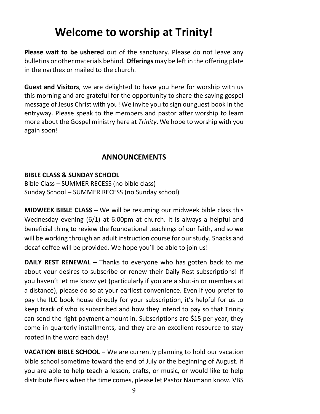## **Welcome to worship at Trinity!**

**Please wait to be ushered** out of the sanctuary. Please do not leave any bulletins or other materials behind. **Offerings** may be left in the offering plate in the narthex or mailed to the church.

**Guest and Visitors**, we are delighted to have you here for worship with us this morning and are grateful for the opportunity to share the saving gospel message of Jesus Christ with you! We invite you to sign our guest book in the entryway. Please speak to the members and pastor after worship to learn more about the Gospel ministry here at *Trinity*. We hope to worship with you again soon!

## **ANNOUNCEMENTS**

## **BIBLE CLASS & SUNDAY SCHOOL**

Bible Class – SUMMER RECESS (no bible class) Sunday School – SUMMER RECESS (no Sunday school)

**MIDWEEK BIBLE CLASS –** We will be resuming our midweek bible class this Wednesday evening (6/1) at 6:00pm at church. It is always a helpful and beneficial thing to review the foundational teachings of our faith, and so we will be working through an adult instruction course for our study. Snacks and decaf coffee will be provided. We hope you'll be able to join us!

**DAILY REST RENEWAL** – Thanks to everyone who has gotten back to me about your desires to subscribe or renew their Daily Rest subscriptions! If you haven't let me know yet (particularly if you are a shut-in or members at a distance), please do so at your earliest convenience. Even if you prefer to pay the ILC book house directly for your subscription, it's helpful for us to keep track of who is subscribed and how they intend to pay so that Trinity can send the right payment amount in. Subscriptions are \$15 per year, they come in quarterly installments, and they are an excellent resource to stay rooted in the word each day!

**VACATION BIBLE SCHOOL –** We are currently planning to hold our vacation bible school sometime toward the end of July or the beginning of August. If you are able to help teach a lesson, crafts, or music, or would like to help distribute fliers when the time comes, please let Pastor Naumann know. VBS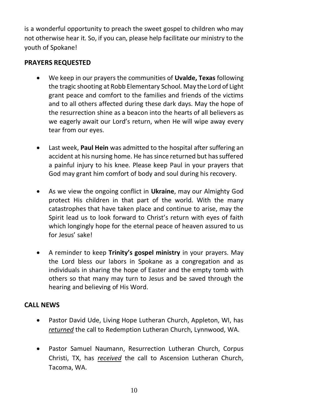is a wonderful opportunity to preach the sweet gospel to children who may not otherwise hear it. So, if you can, please help facilitate our ministry to the youth of Spokane!

### **PRAYERS REQUESTED**

- We keep in our prayers the communities of **Uvalde, Texas** following the tragic shooting at Robb Elementary School. May the Lord of Light grant peace and comfort to the families and friends of the victims and to all others affected during these dark days. May the hope of the resurrection shine as a beacon into the hearts of all believers as we eagerly await our Lord's return, when He will wipe away every tear from our eyes.
- Last week, **Paul Hein** was admitted to the hospital after suffering an accident at his nursing home. He has since returned but has suffered a painful injury to his knee. Please keep Paul in your prayers that God may grant him comfort of body and soul during his recovery.
- As we view the ongoing conflict in **Ukraine**, may our Almighty God protect His children in that part of the world. With the many catastrophes that have taken place and continue to arise, may the Spirit lead us to look forward to Christ's return with eyes of faith which longingly hope for the eternal peace of heaven assured to us for Jesus' sake!
- A reminder to keep **Trinity's gospel ministry** in your prayers. May the Lord bless our labors in Spokane as a congregation and as individuals in sharing the hope of Easter and the empty tomb with others so that many may turn to Jesus and be saved through the hearing and believing of His Word.

### **CALL NEWS**

- Pastor David Ude, Living Hope Lutheran Church, Appleton, WI, has *returned* the call to Redemption Lutheran Church, Lynnwood, WA.
- Pastor Samuel Naumann, Resurrection Lutheran Church, Corpus Christi, TX, has *received* the call to Ascension Lutheran Church, Tacoma, WA.